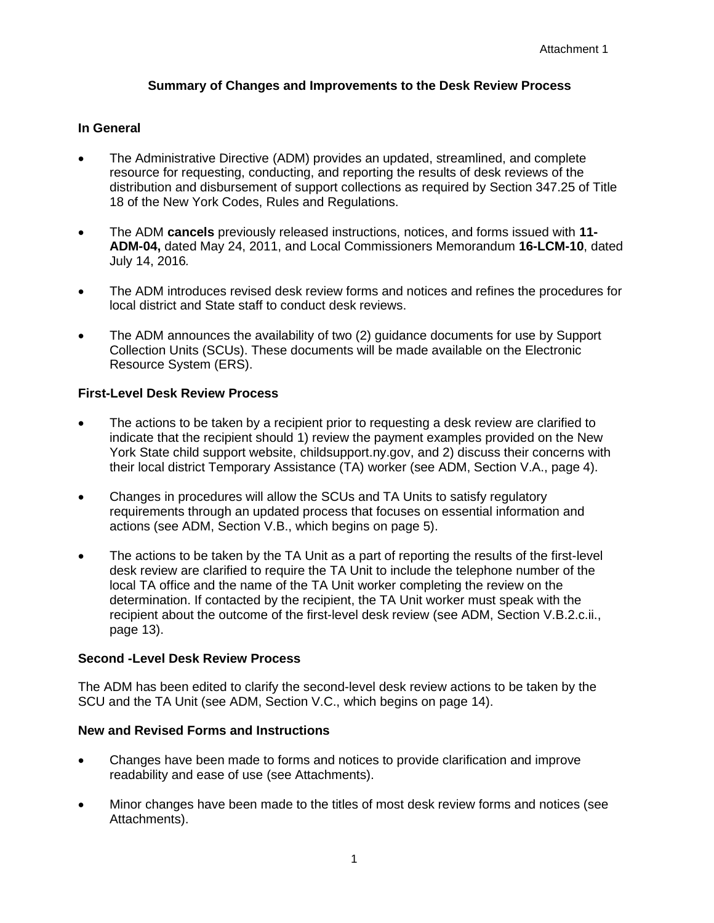# **Summary of Changes and Improvements to the Desk Review Process**

## **In General**

- The Administrative Directive (ADM) provides an updated, streamlined, and complete resource for requesting, conducting, and reporting the results of desk reviews of the distribution and disbursement of support collections as required by Section 347.25 of Title 18 of the New York Codes, Rules and Regulations.
- The ADM **cancels** previously released instructions, notices, and forms issued with **11- ADM-04,** dated May 24, 2011, and Local Commissioners Memorandum **16-LCM-10**, dated July 14, 2016*.*
- The ADM introduces revised desk review forms and notices and refines the procedures for local district and State staff to conduct desk reviews.
- The ADM announces the availability of two (2) guidance documents for use by Support Collection Units (SCUs). These documents will be made available on the Electronic Resource System (ERS).

### **First-Level Desk Review Process**

- The actions to be taken by a recipient prior to requesting a desk review are clarified to indicate that the recipient should 1) review the payment examples provided on the New York State child support website, [childsupport.ny.gov,](https://childsupport.ny.gov/) and 2) discuss their concerns with their local district Temporary Assistance (TA) worker (see ADM, Section V.A., page 4).
- Changes in procedures will allow the SCUs and TA Units to satisfy regulatory requirements through an updated process that focuses on essential information and actions (see ADM, Section V.B., which begins on page 5).
- The actions to be taken by the TA Unit as a part of reporting the results of the first-level desk review are clarified to require the TA Unit to include the telephone number of the local TA office and the name of the TA Unit worker completing the review on the determination. If contacted by the recipient, the TA Unit worker must speak with the recipient about the outcome of the first-level desk review (see ADM, Section V.B.2.c.ii., page 13).

#### **Second -Level Desk Review Process**

The ADM has been edited to clarify the second-level desk review actions to be taken by the SCU and the TA Unit (see ADM, Section V.C., which begins on page 14).

### **New and Revised Forms and Instructions**

- Changes have been made to forms and notices to provide clarification and improve readability and ease of use (see Attachments).
- Minor changes have been made to the titles of most desk review forms and notices (see Attachments).